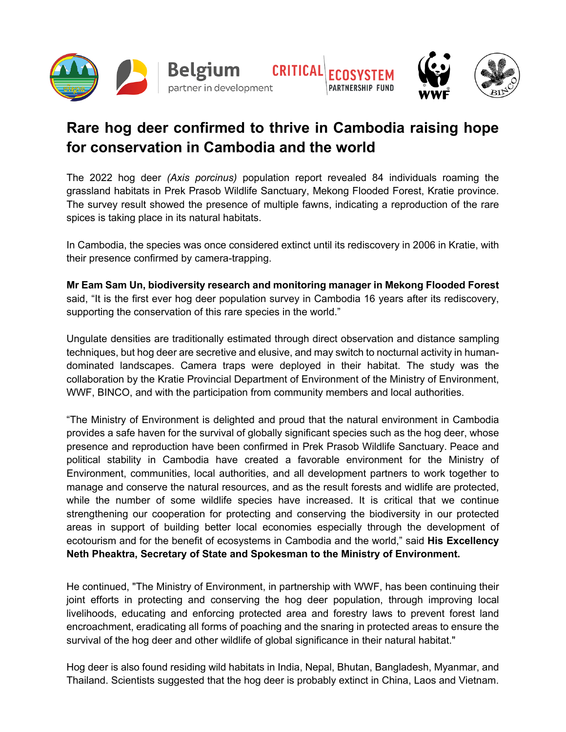

## **Rare hog deer confirmed to thrive in Cambodia raising hope for conservation in Cambodia and the world**

The 2022 hog deer *(Axis porcinus)* population report revealed 84 individuals roaming the grassland habitats in Prek Prasob Wildlife Sanctuary, Mekong Flooded Forest, Kratie province. The survey result showed the presence of multiple fawns, indicating a reproduction of the rare spices is taking place in its natural habitats.

In Cambodia, the species was once considered extinct until its rediscovery in 2006 in Kratie, with their presence confirmed by camera-trapping.

**Mr Eam Sam Un, biodiversity research and monitoring manager in Mekong Flooded Forest** said, "It is the first ever hog deer population survey in Cambodia 16 years after its rediscovery, supporting the conservation of this rare species in the world."

Ungulate densities are traditionally estimated through direct observation and distance sampling techniques, but hog deer are secretive and elusive, and may switch to nocturnal activity in humandominated landscapes. Camera traps were deployed in their habitat. The study was the collaboration by the Kratie Provincial Department of Environment of the Ministry of Environment, WWF, BINCO, and with the participation from community members and local authorities.

"The Ministry of Environment is delighted and proud that the natural environment in Cambodia provides a safe haven for the survival of globally significant species such as the hog deer, whose presence and reproduction have been confirmed in Prek Prasob Wildlife Sanctuary. Peace and political stability in Cambodia have created a favorable environment for the Ministry of Environment, communities, local authorities, and all development partners to work together to manage and conserve the natural resources, and as the result forests and widlife are protected, while the number of some wildlife species have increased. It is critical that we continue strengthening our cooperation for protecting and conserving the biodiversity in our protected areas in support of building better local economies especially through the development of ecotourism and for the benefit of ecosystems in Cambodia and the world," said **His Excellency Neth Pheaktra, Secretary of State and Spokesman to the Ministry of Environment.**

He continued, "The Ministry of Environment, in partnership with WWF, has been continuing their joint efforts in protecting and conserving the hog deer population, through improving local livelihoods, educating and enforcing protected area and forestry laws to prevent forest land encroachment, eradicating all forms of poaching and the snaring in protected areas to ensure the survival of the hog deer and other wildlife of global significance in their natural habitat."

Hog deer is also found residing wild habitats in India, Nepal, Bhutan, Bangladesh, Myanmar, and Thailand. Scientists suggested that the hog deer is probably extinct in China, Laos and Vietnam.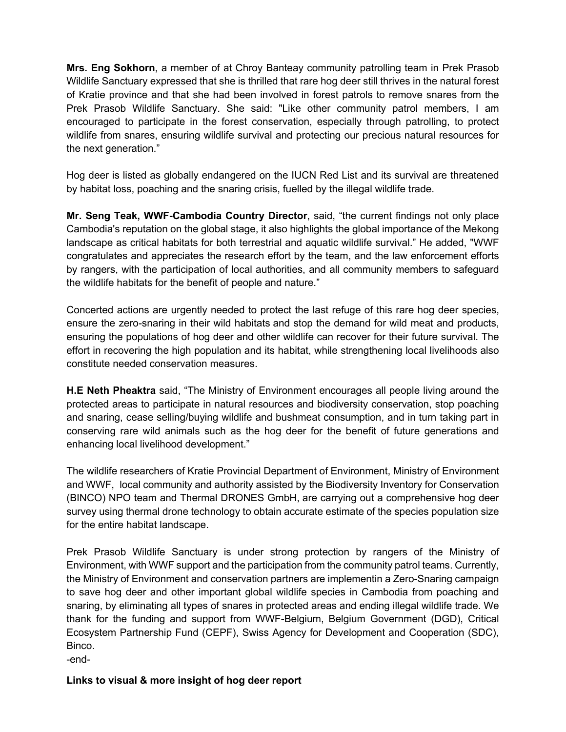**Mrs. Eng Sokhorn**, a member of at Chroy Banteay community patrolling team in Prek Prasob Wildlife Sanctuary expressed that she is thrilled that rare hog deer still thrives in the natural forest of Kratie province and that she had been involved in forest patrols to remove snares from the Prek Prasob Wildlife Sanctuary. She said: "Like other community patrol members, I am encouraged to participate in the forest conservation, especially through patrolling, to protect wildlife from snares, ensuring wildlife survival and protecting our precious natural resources for the next generation."

Hog deer is listed as globally endangered on the IUCN Red List and its survival are threatened by habitat loss, poaching and the snaring crisis, fuelled by the illegal wildlife trade.

**Mr. Seng Teak, WWF-Cambodia Country Director**, said, "the current findings not only place Cambodia's reputation on the global stage, it also highlights the global importance of the Mekong landscape as critical habitats for both terrestrial and aquatic wildlife survival." He added, "WWF congratulates and appreciates the research effort by the team, and the law enforcement efforts by rangers, with the participation of local authorities, and all community members to safeguard the wildlife habitats for the benefit of people and nature."

Concerted actions are urgently needed to protect the last refuge of this rare hog deer species, ensure the zero-snaring in their wild habitats and stop the demand for wild meat and products, ensuring the populations of hog deer and other wildlife can recover for their future survival. The effort in recovering the high population and its habitat, while strengthening local livelihoods also constitute needed conservation measures.

**H.E Neth Pheaktra** said, "The Ministry of Environment encourages all people living around the protected areas to participate in natural resources and biodiversity conservation, stop poaching and snaring, cease selling/buying wildlife and bushmeat consumption, and in turn taking part in conserving rare wild animals such as the hog deer for the benefit of future generations and enhancing local livelihood development."

The wildlife researchers of Kratie Provincial Department of Environment, Ministry of Environment and WWF, local community and authority assisted by the Biodiversity Inventory for Conservation (BINCO) NPO team and Thermal DRONES GmbH, are carrying out a comprehensive hog deer survey using thermal drone technology to obtain accurate estimate of the species population size for the entire habitat landscape.

Prek Prasob Wildlife Sanctuary is under strong protection by rangers of the Ministry of Environment, with WWF support and the participation from the community patrol teams. Currently, the Ministry of Environment and conservation partners are implementin a Zero-Snaring campaign to save hog deer and other important global wildlife species in Cambodia from poaching and snaring, by eliminating all types of snares in protected areas and ending illegal wildlife trade. We thank for the funding and support from WWF-Belgium, Belgium Government (DGD), Critical Ecosystem Partnership Fund (CEPF), Swiss Agency for Development and Cooperation (SDC), Binco. -end-

**Links to visual & more insight of hog deer report**